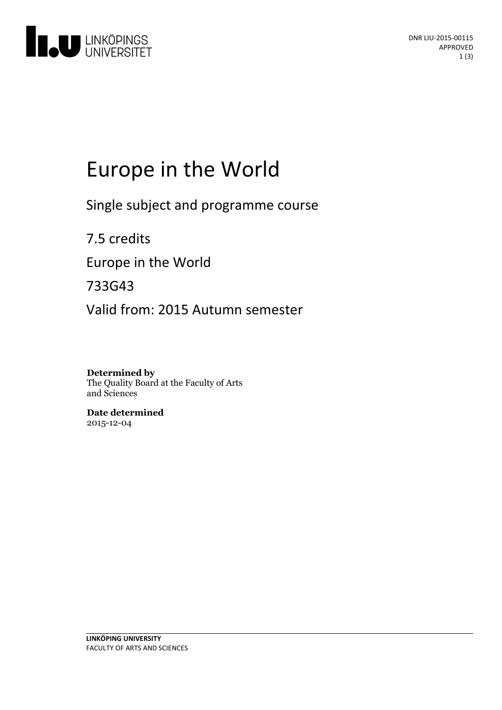

# Europe in the World

Single subject and programme course

7.5 credits Europe in the World 733G43 Valid from: 2015 Autumn semester

**Determined by** The Quality Board at the Faculty of Arts and Sciences

**Date determined** 2015-12-04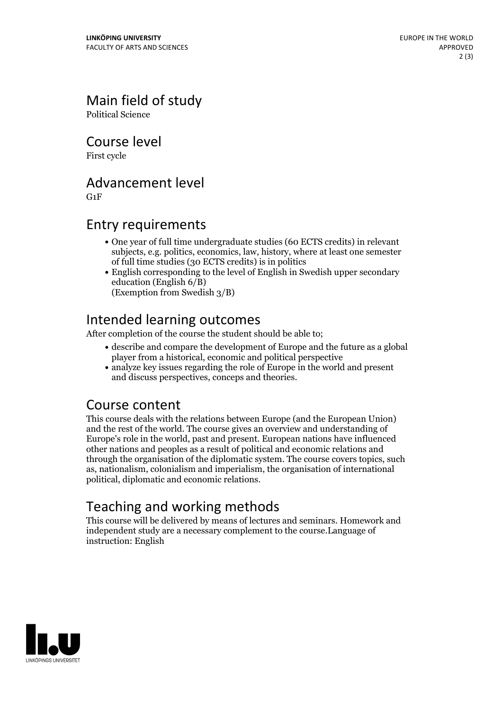# Main field of study

Political Science

Course level

First cycle

## Advancement level

G1F

### Entry requirements

- One year of full time undergraduate studies (60 ECTS credits) in relevant subjects, e.g. politics, economics, law, history, where at least one semester of full time studies (30 ECTS credits) is in politics
- English corresponding to the level of English in Swedish upper secondary education (English 6/B) (Exemption from Swedish 3/B)

## Intended learning outcomes

After completion of the course the student should be able to;

- describe and compare the development of Europe and the future as a global player from a historical, economic and political perspective
- analyze key issues regarding the role of Europe in the world and present and discuss perspectives, conceps and theories.

#### Course content

This course deals with the relations between Europe (and the European Union) and the rest of the world. The course gives an overview and understanding of Europe's role in the world, past and present. European nations have influenced other nations and peoples as a result of political and economic relations and through the organisation of the diplomatic system. The course covers topics, such as, nationalism, colonialism and imperialism, the organisation of international political, diplomatic and economic relations.

# Teaching and working methods

This course will be delivered by means of lectures and seminars. Homework and independent study are a necessary complement to the course.Language of instruction: English